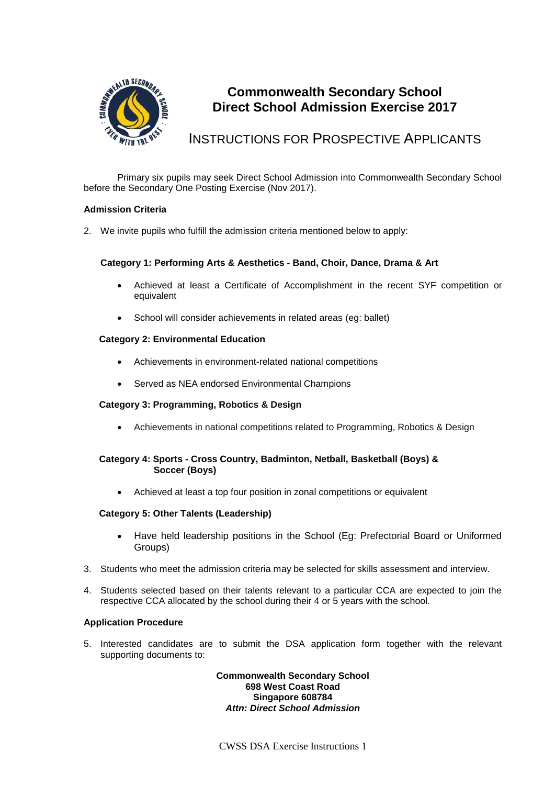

# **Commonwealth Secondary School Direct School Admission Exercise 2017**

# INSTRUCTIONS FOR PROSPECTIVE APPLICANTS

Primary six pupils may seek Direct School Admission into Commonwealth Secondary School before the Secondary One Posting Exercise (Nov 2017).

## **Admission Criteria**

2. We invite pupils who fulfill the admission criteria mentioned below to apply:

# **Category 1: Performing Arts & Aesthetics - Band, Choir, Dance, Drama & Art**

- Achieved at least a Certificate of Accomplishment in the recent SYF competition or equivalent
- School will consider achievements in related areas (eg: ballet)

# **Category 2: Environmental Education**

- Achievements in environment-related national competitions
- Served as NEA endorsed Environmental Champions

## **Category 3: Programming, Robotics & Design**

Achievements in national competitions related to Programming, Robotics & Design

# **Category 4: Sports - Cross Country, Badminton, Netball, Basketball (Boys) & Soccer (Boys)**

Achieved at least a top four position in zonal competitions or equivalent

## **Category 5: Other Talents (Leadership)**

- Have held leadership positions in the School (Eg: Prefectorial Board or Uniformed Groups)
- 3. Students who meet the admission criteria may be selected for skills assessment and interview.
- 4. Students selected based on their talents relevant to a particular CCA are expected to join the respective CCA allocated by the school during their 4 or 5 years with the school.

## **Application Procedure**

5. Interested candidates are to submit the DSA application form together with the relevant supporting documents to:

#### **Commonwealth Secondary School 698 West Coast Road Singapore 608784** *Attn: Direct School Admission*